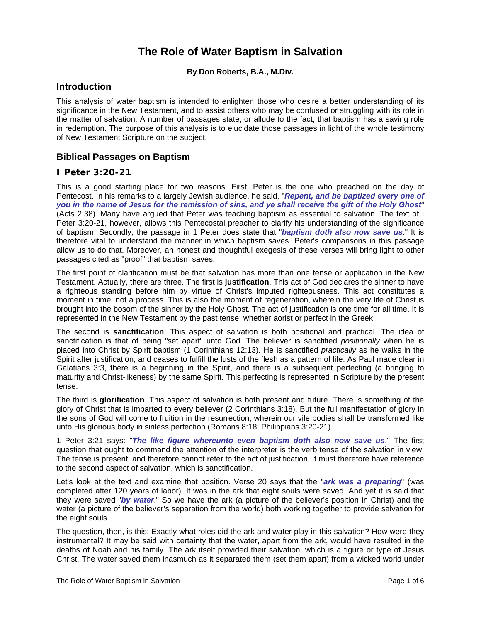### **The Role of Water Baptism in Salvation**

#### **By Don Roberts, B.A., M.Div.**

#### **Introduction**

This analysis of water baptism is intended to enlighten those who desire a better understanding of its significance in the New Testament, and to assist others who may be confused or struggling with its role in the matter of salvation. A number of passages state, or allude to the fact, that baptism has a saving role in redemption. The purpose of this analysis is to elucidate those passages in light of the whole testimony of New Testament Scripture on the subject.

#### **Biblical Passages on Baptism**

#### **I Peter 3:20-21**

This is a good starting place for two reasons. First, Peter is the one who preached on the day of Pentecost. In his remarks to a largely Jewish audience, he said, "*Repent, and be baptized every one of you in the name of Jesus for the remission of sins, and ye shall receive the gift of the Holy Ghost*" (Acts 2:38). Many have argued that Peter was teaching baptism as essential to salvation. The text of I Peter 3:20-21, however, allows this Pentecostal preacher to clarify his understanding of the significance of baptism. Secondly, the passage in 1 Peter does state that "*baptism doth also now save us*." It is therefore vital to understand the manner in which baptism saves. Peter's comparisons in this passage allow us to do that. Moreover, an honest and thoughtful exegesis of these verses will bring light to other passages cited as "proof" that baptism saves.

The first point of clarification must be that salvation has more than one tense or application in the New Testament. Actually, there are three. The first is **justification**. This act of God declares the sinner to have a righteous standing before him by virtue of Christ's imputed righteousness. This act constitutes a moment in time, not a process. This is also the moment of regeneration, wherein the very life of Christ is brought into the bosom of the sinner by the Holy Ghost. The act of justification is one time for all time. It is represented in the New Testament by the past tense, whether aorist or perfect in the Greek.

The second is **sanctification**. This aspect of salvation is both positional and practical. The idea of sanctification is that of being "set apart" unto God. The believer is sanctified *positionally* when he is placed into Christ by Spirit baptism (1 Corinthians 12:13). He is sanctified *practically* as he walks in the Spirit after justification, and ceases to fulfill the lusts of the flesh as a pattern of life. As Paul made clear in Galatians 3:3, there is a beginning in the Spirit, and there is a subsequent perfecting (a bringing to maturity and Christ-likeness) by the same Spirit. This perfecting is represented in Scripture by the present tense.

The third is **glorification**. This aspect of salvation is both present and future. There is something of the glory of Christ that is imparted to every believer (2 Corinthians 3:18). But the full manifestation of glory in the sons of God will come to fruition in the resurrection, wherein our vile bodies shall be transformed like unto His glorious body in sinless perfection (Romans 8:18; Philippians 3:20-21).

1 Peter 3:21 says: "*The like figure whereunto even baptism doth also now save us*." The first question that ought to command the attention of the interpreter is the verb tense of the salvation in view. The tense is present, and therefore cannot refer to the act of justification. It must therefore have reference to the second aspect of salvation, which is sanctification.

Let's look at the text and examine that position. Verse 20 says that the "*ark was a preparing*" (was completed after 120 years of labor). It was in the ark that eight souls were saved. And yet it is said that they were saved "*by water*." So we have the ark (a picture of the believer's position in Christ) and the water (a picture of the believer's separation from the world) both working together to provide salvation for the eight souls.

The question, then, is this: Exactly what roles did the ark and water play in this salvation? How were they instrumental? It may be said with certainty that the water, apart from the ark, would have resulted in the deaths of Noah and his family. The ark itself provided their salvation, which is a figure or type of Jesus Christ. The water saved them inasmuch as it separated them (set them apart) from a wicked world under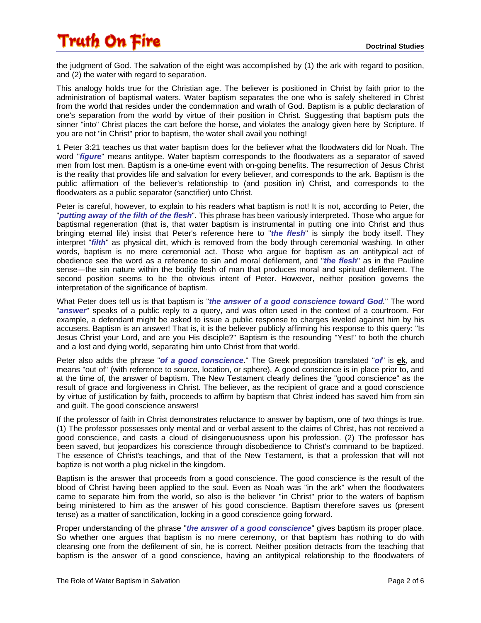the judgment of God. The salvation of the eight was accomplished by (1) the ark with regard to position, and (2) the water with regard to separation.

This analogy holds true for the Christian age. The believer is positioned in Christ by faith prior to the administration of baptismal waters. Water baptism separates the one who is safely sheltered in Christ from the world that resides under the condemnation and wrath of God. Baptism is a public declaration of one's separation from the world by virtue of their position in Christ. Suggesting that baptism puts the sinner "into" Christ places the cart before the horse, and violates the analogy given here by Scripture. If you are not "in Christ" prior to baptism, the water shall avail you nothing!

1 Peter 3:21 teaches us that water baptism does for the believer what the floodwaters did for Noah. The word "*figure*" means antitype. Water baptism corresponds to the floodwaters as a separator of saved men from lost men. Baptism is a one-time event with on-going benefits. The resurrection of Jesus Christ is the reality that provides life and salvation for every believer, and corresponds to the ark. Baptism is the public affirmation of the believer's relationship to (and position in) Christ, and corresponds to the floodwaters as a public separator (sanctifier) unto Christ.

Peter is careful, however, to explain to his readers what baptism is not! It is not, according to Peter, the "*putting away of the filth of the flesh*". This phrase has been variously interpreted. Those who argue for baptismal regeneration (that is, that water baptism is instrumental in putting one into Christ and thus bringing eternal life) insist that Peter's reference here to "*the flesh*" is simply the body itself. They interpret "*filth*" as physical dirt, which is removed from the body through ceremonial washing. In other words, baptism is no mere ceremonial act. Those who argue for baptism as an antitypical act of obedience see the word as a reference to sin and moral defilement, and "*the flesh*" as in the Pauline sense—the sin nature within the bodily flesh of man that produces moral and spiritual defilement. The second position seems to be the obvious intent of Peter. However, neither position governs the interpretation of the significance of baptism.

What Peter does tell us is that baptism is "*the answer of a good conscience toward God.*" The word "*answer*" speaks of a public reply to a query, and was often used in the context of a courtroom. For example, a defendant might be asked to issue a public response to charges leveled against him by his accusers. Baptism is an answer! That is, it is the believer publicly affirming his response to this query: "Is Jesus Christ your Lord, and are you His disciple?" Baptism is the resounding "Yes!" to both the church and a lost and dying world, separating him unto Christ from that world.

Peter also adds the phrase "*of a good conscience*." The Greek preposition translated "*of*" is **ek**, and means "out of" (with reference to source, location, or sphere). A good conscience is in place prior to, and at the time of, the answer of baptism. The New Testament clearly defines the "good conscience" as the result of grace and forgiveness in Christ. The believer, as the recipient of grace and a good conscience by virtue of justification by faith, proceeds to affirm by baptism that Christ indeed has saved him from sin and guilt. The good conscience answers!

If the professor of faith in Christ demonstrates reluctance to answer by baptism, one of two things is true. (1) The professor possesses only mental and or verbal assent to the claims of Christ, has not received a good conscience, and casts a cloud of disingenuousness upon his profession. (2) The professor has been saved, but jeopardizes his conscience through disobedience to Christ's command to be baptized. The essence of Christ's teachings, and that of the New Testament, is that a profession that will not baptize is not worth a plug nickel in the kingdom.

Baptism is the answer that proceeds from a good conscience. The good conscience is the result of the blood of Christ having been applied to the soul. Even as Noah was "in the ark" when the floodwaters came to separate him from the world, so also is the believer "in Christ" prior to the waters of baptism being ministered to him as the answer of his good conscience. Baptism therefore saves us (present tense) as a matter of sanctification, locking in a good conscience going forward.

Proper understanding of the phrase "*the answer of a good conscience*" gives baptism its proper place. So whether one argues that baptism is no mere ceremony, or that baptism has nothing to do with cleansing one from the defilement of sin, he is correct. Neither position detracts from the teaching that baptism is the answer of a good conscience, having an antitypical relationship to the floodwaters of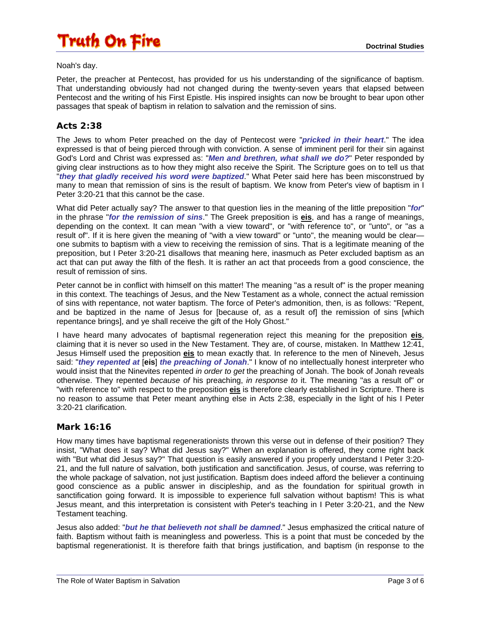Noah's day.

Peter, the preacher at Pentecost, has provided for us his understanding of the significance of baptism. That understanding obviously had not changed during the twenty-seven years that elapsed between Pentecost and the writing of his First Epistle. His inspired insights can now be brought to bear upon other passages that speak of baptism in relation to salvation and the remission of sins.

#### **Acts 2:38**

The Jews to whom Peter preached on the day of Pentecost were "*pricked in their heart*." The idea expressed is that of being pierced through with conviction. A sense of imminent peril for their sin against God's Lord and Christ was expressed as: "*Men and brethren, what shall we do?*" Peter responded by giving clear instructions as to how they might also receive the Spirit. The Scripture goes on to tell us that "*they that gladly received his word were baptized*." What Peter said here has been misconstrued by many to mean that remission of sins is the result of baptism. We know from Peter's view of baptism in I Peter 3:20-21 that this cannot be the case.

What did Peter actually say? The answer to that question lies in the meaning of the little preposition "*for*" in the phrase "*for the remission of sins*." The Greek preposition is **eis**, and has a range of meanings, depending on the context. It can mean "with a view toward", or "with reference to", or "unto", or "as a result of". If it is here given the meaning of "with a view toward" or "unto", the meaning would be clear one submits to baptism with a view to receiving the remission of sins. That is a legitimate meaning of the preposition, but I Peter 3:20-21 disallows that meaning here, inasmuch as Peter excluded baptism as an act that can put away the filth of the flesh. It is rather an act that proceeds from a good conscience, the result of remission of sins.

Peter cannot be in conflict with himself on this matter! The meaning "as a result of" is the proper meaning in this context. The teachings of Jesus, and the New Testament as a whole, connect the actual remission of sins with repentance, not water baptism. The force of Peter's admonition, then, is as follows: "Repent, and be baptized in the name of Jesus for [because of, as a result of] the remission of sins [which repentance brings], and ye shall receive the gift of the Holy Ghost."

I have heard many advocates of baptismal regeneration reject this meaning for the preposition **eis**, claiming that it is never so used in the New Testament. They are, of course, mistaken. In Matthew 12:41, Jesus Himself used the preposition **eis** to mean exactly that. In reference to the men of Nineveh, Jesus said: "*they repented at* [**eis**] *the preaching of Jonah*." I know of no intellectually honest interpreter who would insist that the Ninevites repented *in order to get* the preaching of Jonah. The book of Jonah reveals otherwise. They repented *because of* his preaching, *in response to* it. The meaning "as a result of" or "with reference to" with respect to the preposition **eis** is therefore clearly established in Scripture. There is no reason to assume that Peter meant anything else in Acts 2:38, especially in the light of his I Peter 3:20-21 clarification.

#### **Mark 16:16**

How many times have baptismal regenerationists thrown this verse out in defense of their position? They insist, "What does it say? What did Jesus say?" When an explanation is offered, they come right back with "But what did Jesus say?" That question is easily answered if you properly understand I Peter 3:20- 21, and the full nature of salvation, both justification and sanctification. Jesus, of course, was referring to the whole package of salvation, not just justification. Baptism does indeed afford the believer a continuing good conscience as a public answer in discipleship, and as the foundation for spiritual growth in sanctification going forward. It is impossible to experience full salvation without baptism! This is what Jesus meant, and this interpretation is consistent with Peter's teaching in I Peter 3:20-21, and the New Testament teaching.

Jesus also added: "*but he that believeth not shall be damned*." Jesus emphasized the critical nature of faith. Baptism without faith is meaningless and powerless. This is a point that must be conceded by the baptismal regenerationist. It is therefore faith that brings justification, and baptism (in response to the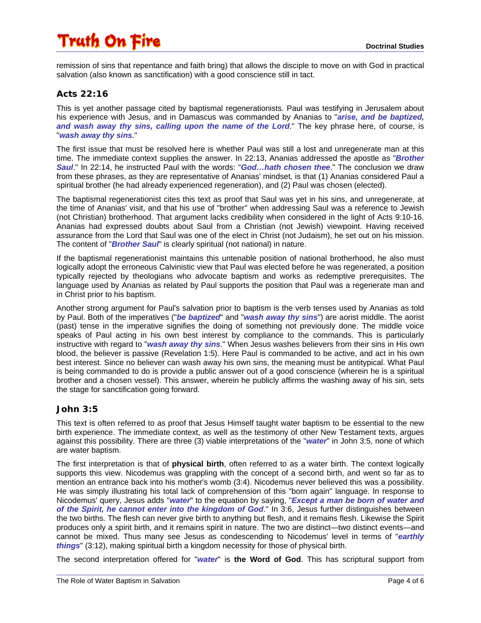remission of sins that repentance and faith bring) that allows the disciple to move on with God in practical salvation (also known as sanctification) with a good conscience still in tact.

#### **Acts 22:16**

This is yet another passage cited by baptismal regenerationists. Paul was testifying in Jerusalem about his experience with Jesus, and in Damascus was commanded by Ananias to "*arise, and be baptized, and wash away thy sins, calling upon the name of the Lord*." The key phrase here, of course, is "*wash away thy sins*."

The first issue that must be resolved here is whether Paul was still a lost and unregenerate man at this time. The immediate context supplies the answer. In 22:13, Ananias addressed the apostle as "*Brother Saul*." In 22:14, he instructed Paul with the words: "*God…hath chosen thee*." The conclusion we draw from these phrases, as they are representative of Ananias' mindset, is that (1) Ananias considered Paul a spiritual brother (he had already experienced regeneration), and (2) Paul was chosen (elected).

The baptismal regenerationist cites this text as proof that Saul was yet in his sins, and unregenerate, at the time of Ananias' visit, and that his use of "brother" when addressing Saul was a reference to Jewish (not Christian) brotherhood. That argument lacks credibility when considered in the light of Acts 9:10-16. Ananias had expressed doubts about Saul from a Christian (not Jewish) viewpoint. Having received assurance from the Lord that Saul was one of the elect in Christ (not Judaism), he set out on his mission. The content of "*Brother Saul*" is clearly spiritual (not national) in nature.

If the baptismal regenerationist maintains this untenable position of national brotherhood, he also must logically adopt the erroneous Calvinistic view that Paul was elected before he was regenerated, a position typically rejected by theologians who advocate baptism and works as redemptive prerequisites. The language used by Ananias as related by Paul supports the position that Paul was a regenerate man and in Christ prior to his baptism.

Another strong argument for Paul's salvation prior to baptism is the verb tenses used by Ananias as told by Paul. Both of the imperatives ("*be baptized*" and "*wash away thy sins*") are aorist middle. The aorist (past) tense in the imperative signifies the doing of something not previously done. The middle voice speaks of Paul acting in his own best interest by compliance to the commands. This is particularly instructive with regard to "*wash away thy sins*." When Jesus washes believers from their sins in His own blood, the believer is passive (Revelation 1:5). Here Paul is commanded to be active, and act in his own best interest. Since no believer can wash away his own sins, the meaning must be antitypical. What Paul is being commanded to do is provide a public answer out of a good conscience (wherein he is a spiritual brother and a chosen vessel). This answer, wherein he publicly affirms the washing away of his sin, sets the stage for sanctification going forward.

#### **John 3:5**

This text is often referred to as proof that Jesus Himself taught water baptism to be essential to the new birth experience. The immediate context, as well as the testimony of other New Testament texts, argues against this possibility. There are three (3) viable interpretations of the "*water*" in John 3:5, none of which are water baptism.

The first interpretation is that of **physical birth**, often referred to as a water birth. The context logically supports this view. Nicodemus was grappling with the concept of a second birth, and went so far as to mention an entrance back into his mother's womb (3:4). Nicodemus never believed this was a possibility. He was simply illustrating his total lack of comprehension of this "born again" language. In response to Nicodemus' query, Jesus adds "*water*" to the equation by saying, "*Except a man be born of water and of the Spirit, he cannot enter into the kingdom of God*." In 3:6, Jesus further distinguishes between the two births. The flesh can never give birth to anything but flesh, and it remains flesh. Likewise the Spirit produces only a spirit birth, and it remains spirit in nature. The two are distinct—two distinct events—and cannot be mixed. Thus many see Jesus as condescending to Nicodemus' level in terms of "*earthly things*" (3:12), making spiritual birth a kingdom necessity for those of physical birth.

The second interpretation offered for "*water*" is **the Word of God**. This has scriptural support from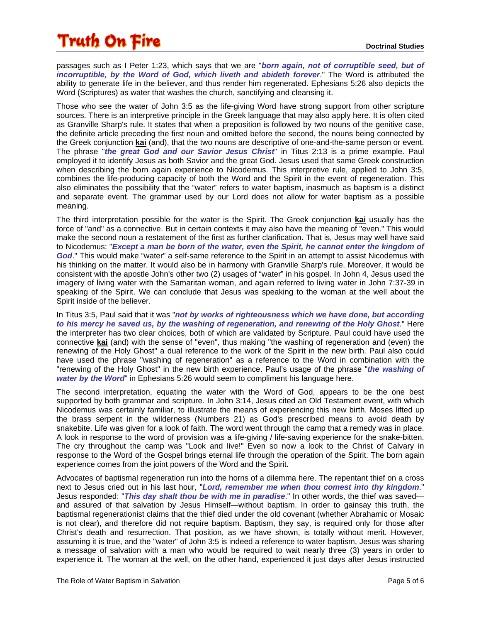passages such as I Peter 1:23, which says that we are "*born again, not of corruptible seed, but of incorruptible, by the Word of God, which liveth and abideth forever*." The Word is attributed the ability to generate life in the believer, and thus render him regenerated. Ephesians 5:26 also depicts the Word (Scriptures) as water that washes the church, sanctifying and cleansing it.

Those who see the water of John 3:5 as the life-giving Word have strong support from other scripture sources. There is an interpretive principle in the Greek language that may also apply here. It is often cited as Granville Sharp's rule. It states that when a preposition is followed by two nouns of the genitive case, the definite article preceding the first noun and omitted before the second, the nouns being connected by the Greek conjunction **kai** (and), that the two nouns are descriptive of one-and-the-same person or event. The phrase "*the great God and our Savior Jesus Christ*" in Titus 2:13 is a prime example. Paul employed it to identify Jesus as both Savior and the great God. Jesus used that same Greek construction when describing the born again experience to Nicodemus. This interpretive rule, applied to John 3:5, combines the life-producing capacity of both the Word and the Spirit in the event of regeneration. This also eliminates the possibility that the "water" refers to water baptism, inasmuch as baptism is a distinct and separate event. The grammar used by our Lord does not allow for water baptism as a possible meaning.

The third interpretation possible for the water is the Spirit. The Greek conjunction **kai** usually has the force of "and" as a connective. But in certain contexts it may also have the meaning of "even." This would make the second noun a restatement of the first as further clarification. That is, Jesus may well have said to Nicodemus: "*Except a man be born of the water, even the Spirit, he cannot enter the kingdom of God*." This would make "water" a self-same reference to the Spirit in an attempt to assist Nicodemus with his thinking on the matter. It would also be in harmony with Granville Sharp's rule. Moreover, it would be consistent with the apostle John's other two (2) usages of "water" in his gospel. In John 4, Jesus used the imagery of living water with the Samaritan woman, and again referred to living water in John 7:37-39 in speaking of the Spirit. We can conclude that Jesus was speaking to the woman at the well about the Spirit inside of the believer.

In Titus 3:5, Paul said that it was "*not by works of righteousness which we have done, but according to his mercy he saved us, by the washing of regeneration, and renewing of the Holy Ghost*." Here the interpreter has two clear choices, both of which are validated by Scripture. Paul could have used the connective **kai** (and) with the sense of "even", thus making "the washing of regeneration and (even) the renewing of the Holy Ghost" a dual reference to the work of the Spirit in the new birth. Paul also could have used the phrase "washing of regeneration" as a reference to the Word in combination with the "renewing of the Holy Ghost" in the new birth experience. Paul's usage of the phrase "*the washing of water by the Word*" in Ephesians 5:26 would seem to compliment his language here.

The second interpretation, equating the water with the Word of God, appears to be the one best supported by both grammar and scripture. In John 3:14, Jesus cited an Old Testament event, with which Nicodemus was certainly familiar, to illustrate the means of experiencing this new birth. Moses lifted up the brass serpent in the wilderness (Numbers 21) as God's prescribed means to avoid death by snakebite. Life was given for a look of faith. The word went through the camp that a remedy was in place. A look in response to the word of provision was a life-giving / life-saving experience for the snake-bitten. The cry throughout the camp was "Look and live!" Even so now a look to the Christ of Calvary in response to the Word of the Gospel brings eternal life through the operation of the Spirit. The born again experience comes from the joint powers of the Word and the Spirit.

Advocates of baptismal regeneration run into the horns of a dilemma here. The repentant thief on a cross next to Jesus cried out in his last hour, "*Lord, remember me when thou comest into thy kingdom*." Jesus responded: "*This day shalt thou be with me in paradise*." In other words, the thief was saved and assured of that salvation by Jesus Himself—without baptism. In order to gainsay this truth, the baptismal regenerationist claims that the thief died under the old covenant (whether Abrahamic or Mosaic is not clear), and therefore did not require baptism. Baptism, they say, is required only for those after Christ's death and resurrection. That position, as we have shown, is totally without merit. However, assuming it is true, and the "water" of John 3:5 is indeed a reference to water baptism, Jesus was sharing a message of salvation with a man who would be required to wait nearly three (3) years in order to experience it. The woman at the well, on the other hand, experienced it just days after Jesus instructed